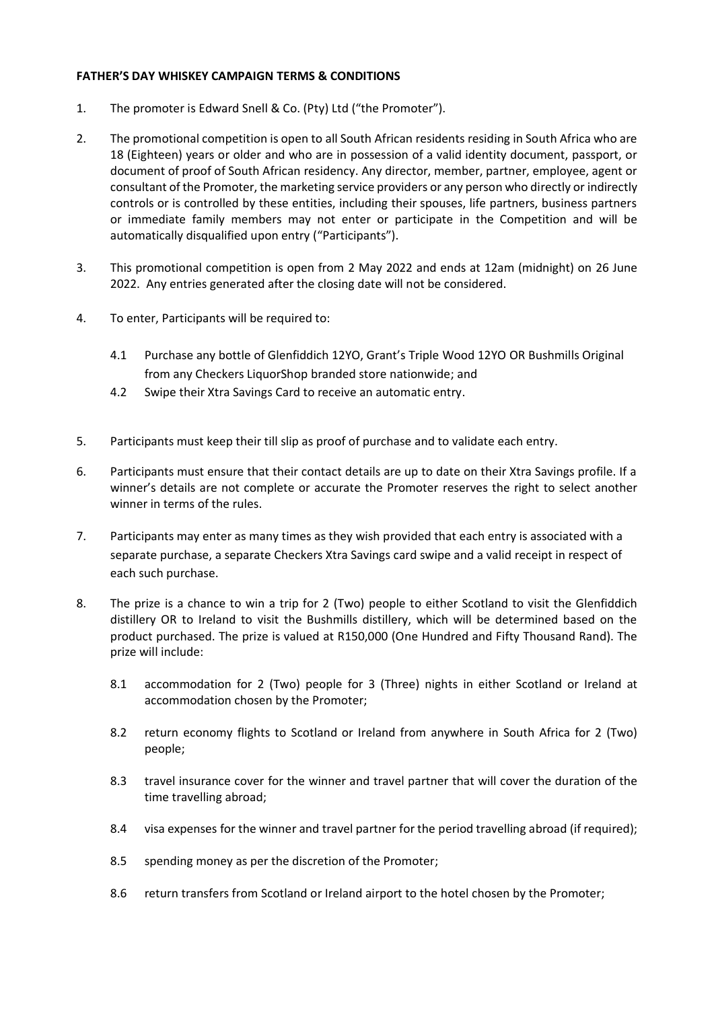## **FATHER'S DAY WHISKEY CAMPAIGN TERMS & CONDITIONS**

- 1. The promoter is Edward Snell & Co. (Pty) Ltd ("the Promoter").
- 2. The promotional competition is open to all South African residents residing in South Africa who are 18 (Eighteen) years or older and who are in possession of a valid identity document, passport, or document of proof of South African residency. Any director, member, partner, employee, agent or consultant of the Promoter, the marketing service providers or any person who directly or indirectly controls or is controlled by these entities, including their spouses, life partners, business partners or immediate family members may not enter or participate in the Competition and will be automatically disqualified upon entry ("Participants").
- 3. This promotional competition is open from 2 May 2022 and ends at 12am (midnight) on 26 June 2022. Any entries generated after the closing date will not be considered.
- 4. To enter, Participants will be required to:
	- 4.1 Purchase any bottle of Glenfiddich 12YO, Grant's Triple Wood 12YO OR Bushmills Original from any Checkers LiquorShop branded store nationwide; and
	- 4.2 Swipe their Xtra Savings Card to receive an automatic entry.
- 5. Participants must keep their till slip as proof of purchase and to validate each entry.
- 6. Participants must ensure that their contact details are up to date on their Xtra Savings profile. If a winner's details are not complete or accurate the Promoter reserves the right to select another winner in terms of the rules.
- 7. Participants may enter as many times as they wish provided that each entry is associated with a separate purchase, a separate Checkers Xtra Savings card swipe and a valid receipt in respect of each such purchase.
- 8. The prize is a chance to win a trip for 2 (Two) people to either Scotland to visit the Glenfiddich distillery OR to Ireland to visit the Bushmills distillery, which will be determined based on the product purchased. The prize is valued at R150,000 (One Hundred and Fifty Thousand Rand). The prize will include:
	- 8.1 accommodation for 2 (Two) people for 3 (Three) nights in either Scotland or Ireland at accommodation chosen by the Promoter;
	- 8.2 return economy flights to Scotland or Ireland from anywhere in South Africa for 2 (Two) people;
	- 8.3 travel insurance cover for the winner and travel partner that will cover the duration of the time travelling abroad;
	- 8.4 visa expenses for the winner and travel partner for the period travelling abroad (if required);
	- 8.5 spending money as per the discretion of the Promoter;
	- 8.6 return transfers from Scotland or Ireland airport to the hotel chosen by the Promoter;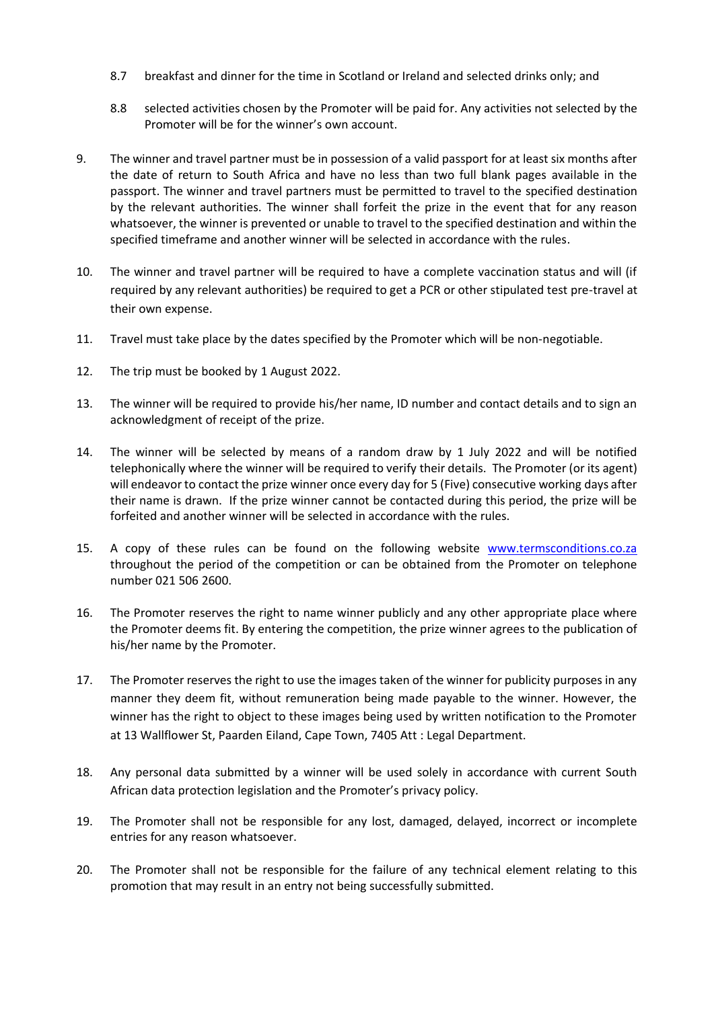- 8.7 breakfast and dinner for the time in Scotland or Ireland and selected drinks only; and
- 8.8 selected activities chosen by the Promoter will be paid for. Any activities not selected by the Promoter will be for the winner's own account.
- 9. The winner and travel partner must be in possession of a valid passport for at least six months after the date of return to South Africa and have no less than two full blank pages available in the passport. The winner and travel partners must be permitted to travel to the specified destination by the relevant authorities. The winner shall forfeit the prize in the event that for any reason whatsoever, the winner is prevented or unable to travel to the specified destination and within the specified timeframe and another winner will be selected in accordance with the rules.
- 10. The winner and travel partner will be required to have a complete vaccination status and will (if required by any relevant authorities) be required to get a PCR or other stipulated test pre-travel at their own expense.
- 11. Travel must take place by the dates specified by the Promoter which will be non-negotiable.
- 12. The trip must be booked by 1 August 2022.
- 13. The winner will be required to provide his/her name, ID number and contact details and to sign an acknowledgment of receipt of the prize.
- 14. The winner will be selected by means of a random draw by 1 July 2022 and will be notified telephonically where the winner will be required to verify their details. The Promoter (or its agent) will endeavor to contact the prize winner once every day for 5 (Five) consecutive working days after their name is drawn. If the prize winner cannot be contacted during this period, the prize will be forfeited and another winner will be selected in accordance with the rules.
- 15. A copy of these rules can be found on the following website [www.termsconditions.co.za](http://www.termsconditions.co.za/) throughout the period of the competition or can be obtained from the Promoter on telephone number 021 506 2600.
- 16. The Promoter reserves the right to name winner publicly and any other appropriate place where the Promoter deems fit. By entering the competition, the prize winner agrees to the publication of his/her name by the Promoter.
- 17. The Promoter reserves the right to use the images taken of the winner for publicity purposes in any manner they deem fit, without remuneration being made payable to the winner. However, the winner has the right to object to these images being used by written notification to the Promoter at 13 Wallflower St, Paarden Eiland, Cape Town, 7405 Att : Legal Department.
- 18. Any personal data submitted by a winner will be used solely in accordance with current South African data protection legislation and the Promoter's privacy policy.
- 19. The Promoter shall not be responsible for any lost, damaged, delayed, incorrect or incomplete entries for any reason whatsoever.
- 20. The Promoter shall not be responsible for the failure of any technical element relating to this promotion that may result in an entry not being successfully submitted.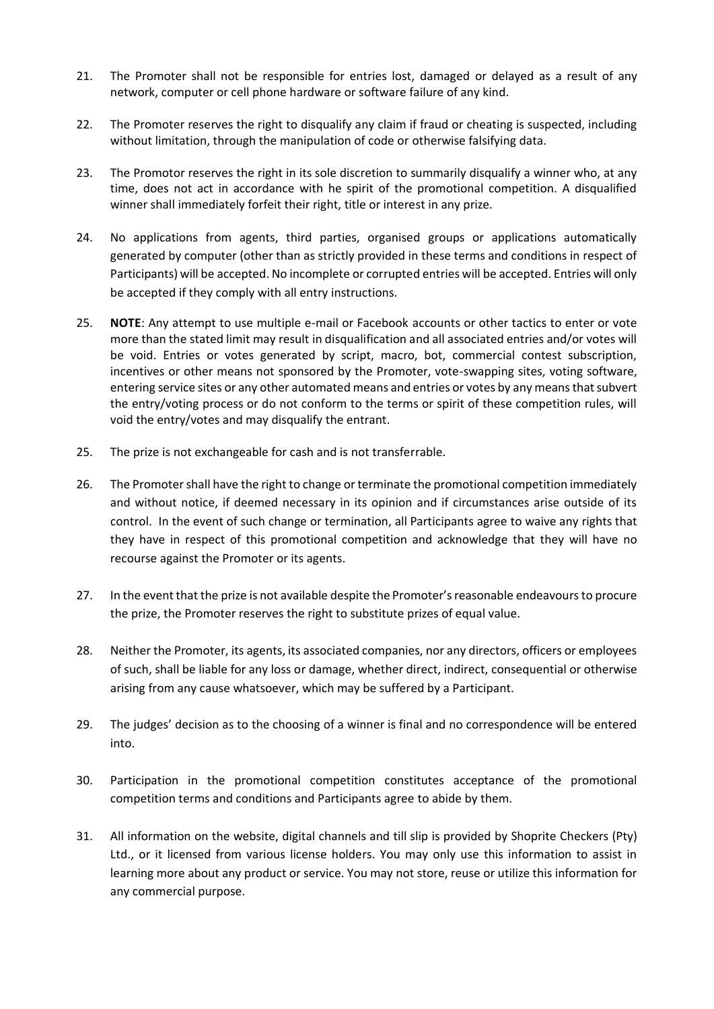- 21. The Promoter shall not be responsible for entries lost, damaged or delayed as a result of any network, computer or cell phone hardware or software failure of any kind.
- 22. The Promoter reserves the right to disqualify any claim if fraud or cheating is suspected, including without limitation, through the manipulation of code or otherwise falsifying data.
- 23. The Promotor reserves the right in its sole discretion to summarily disqualify a winner who, at any time, does not act in accordance with he spirit of the promotional competition. A disqualified winner shall immediately forfeit their right, title or interest in any prize.
- 24. No applications from agents, third parties, organised groups or applications automatically generated by computer (other than as strictly provided in these terms and conditions in respect of Participants) will be accepted. No incomplete or corrupted entries will be accepted. Entries will only be accepted if they comply with all entry instructions.
- 25. **NOTE**: Any attempt to use multiple e-mail or Facebook accounts or other tactics to enter or vote more than the stated limit may result in disqualification and all associated entries and/or votes will be void. Entries or votes generated by script, macro, bot, commercial contest subscription, incentives or other means not sponsored by the Promoter, vote-swapping sites, voting software, entering service sites or any other automated means and entries or votes by any means that subvert the entry/voting process or do not conform to the terms or spirit of these competition rules, will void the entry/votes and may disqualify the entrant.
- 25. The prize is not exchangeable for cash and is not transferrable.
- 26. The Promoter shall have the right to change or terminate the promotional competition immediately and without notice, if deemed necessary in its opinion and if circumstances arise outside of its control. In the event of such change or termination, all Participants agree to waive any rights that they have in respect of this promotional competition and acknowledge that they will have no recourse against the Promoter or its agents.
- 27. In the event that the prize is not available despite the Promoter's reasonable endeavours to procure the prize, the Promoter reserves the right to substitute prizes of equal value.
- 28. Neither the Promoter, its agents, its associated companies, nor any directors, officers or employees of such, shall be liable for any loss or damage, whether direct, indirect, consequential or otherwise arising from any cause whatsoever, which may be suffered by a Participant.
- 29. The judges' decision as to the choosing of a winner is final and no correspondence will be entered into.
- 30. Participation in the promotional competition constitutes acceptance of the promotional competition terms and conditions and Participants agree to abide by them.
- 31. All information on the website, digital channels and till slip is provided by Shoprite Checkers (Pty) Ltd., or it licensed from various license holders. You may only use this information to assist in learning more about any product or service. You may not store, reuse or utilize this information for any commercial purpose.